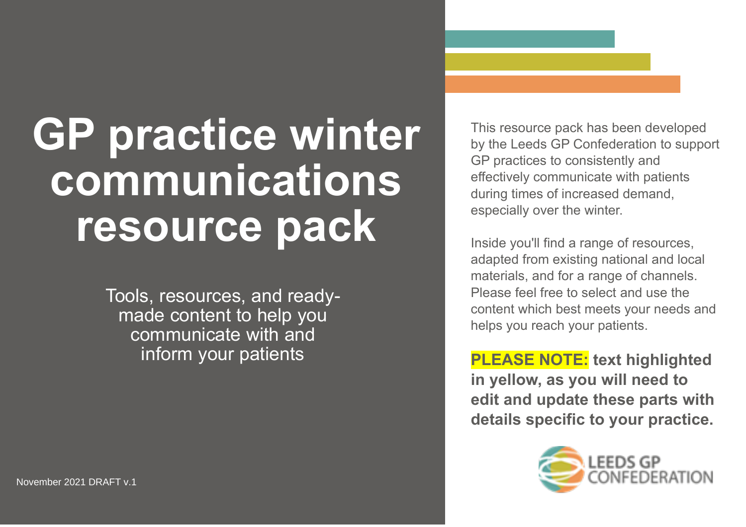# **GP practice winter communications resource pack**

Tools, resources, and readymade content to help you communicate with and inform your patients

This resource pack has been developed by the Leeds GP Confederation to support GP practices to consistently and effectively communicate with patients during times of increased demand, especially over the winter.

Inside you'll find a range of resources, adapted from existing national and local materials, and for a range of channels. Please feel free to select and use the content which best meets your needs and helps you reach your patients.

**PLEASE NOTE: text highlighted in yellow, as you will need to edit and update these parts with details specific to your practice.**

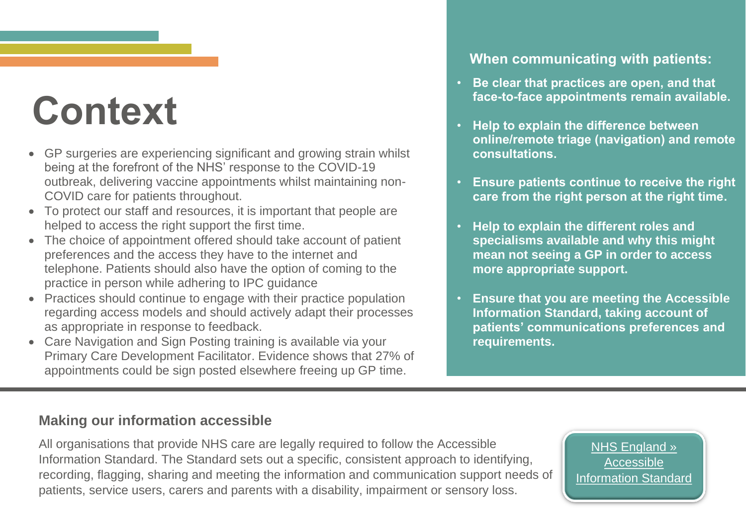# **Context**

- GP surgeries are experiencing significant and growing strain whilst being at the forefront of the NHS' response to the COVID-19 outbreak, delivering vaccine appointments whilst maintaining non-COVID care for patients throughout.
- To protect our staff and resources, it is important that people are helped to access the right support the first time.
- The choice of appointment offered should take account of patient preferences and the access they have to the internet and telephone. Patients should also have the option of coming to the practice in person while adhering to IPC guidance
- Practices should continue to engage with their practice population regarding access models and should actively adapt their processes as appropriate in response to feedback.
- Care Navigation and Sign Posting training is available via your Primary Care Development Facilitator. Evidence shows that 27% of appointments could be sign posted elsewhere freeing up GP time.

### **When communicating with patients:**

- **Be clear that practices are open, and that face-to-face appointments remain available.**
- **Help to explain the difference between online/remote triage (navigation) and remote consultations.**
- **Ensure patients continue to receive the right care from the right person at the right time.**
- **Help to explain the different roles and specialisms available and why this might mean not seeing a GP in order to access more appropriate support.**
- **Ensure that you are meeting the Accessible Information Standard, taking account of patients' communications preferences and requirements.**

### **Making our information accessible**

All organisations that provide NHS care are legally required to follow the Accessible Information Standard. The Standard sets out a specific, consistent approach to identifying, recording, flagging, sharing and meeting the information and communication support needs of patients, service users, carers and parents with a disability, impairment or sensory loss.

[NHS England »](https://www.england.nhs.uk/ourwork/accessibleinfo/)  [Accessible](https://www.england.nhs.uk/ourwork/accessibleinfo/)  [Information Standard](https://www.england.nhs.uk/ourwork/accessibleinfo/)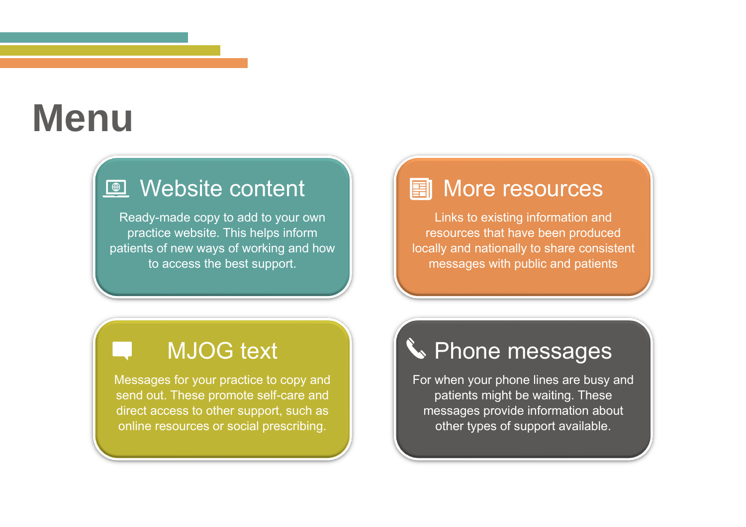# <span id="page-2-0"></span>**Menu**

### **E** [Website content](#page-3-0)

Ready-made copy to add to your own practice website. This helps inform patients of new ways of working and how to access the best support.

## **■** More resources

Links to existing information and resources that have been produced [locally and nationally to share consistent](#page-5-0)  messages with public and patients

## MJOG text

[Messages for your practice to copy and](#page-6-0)  send out. These promote self-care and direct access to other support, such as online resources or social prescribing.

## **C** [Phone messages](#page-7-0)

For when your phone lines are busy and patients might be waiting. These messages provide information about other types of support available.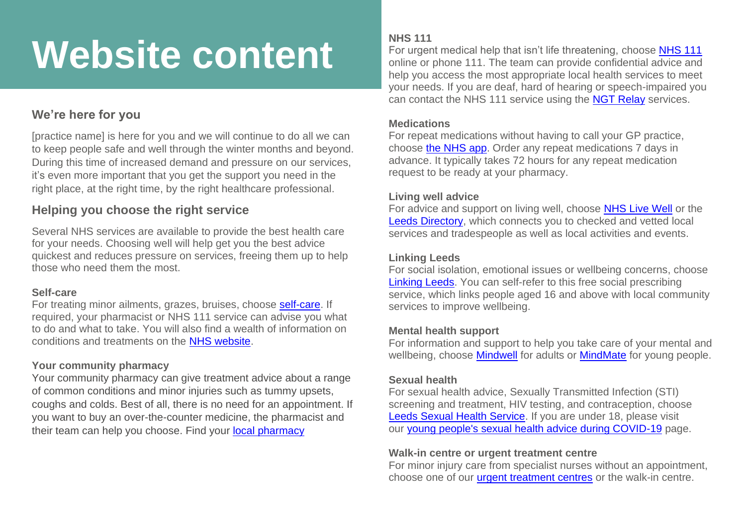# <span id="page-3-0"></span>**Website content**

### **We're here for you**

[practice name] is here for you and we will continue to do all we can to keep people safe and well through the winter months and beyond. During this time of increased demand and pressure on our services, it's even more important that you get the support you need in the right place, at the right time, by the right healthcare professional.

### **Helping you choose the right service**

Several NHS services are available to provide the best health care for your needs. Choosing well will help get you the best advice quickest and reduces pressure on services, freeing them up to help those who need them the most.

#### **Self-care**

For treating minor ailments, grazes, bruises, choose [self-care.](https://www.leedsccg.nhs.uk/health/healthy-living/winter-health/#self-care) If required, your pharmacist or NHS 111 service can advise you what to do and what to take. You will also find a wealth of information on conditions and treatments on the [NHS website.](http://www.nhs.uk/)

#### **Your community pharmacy**

Your community pharmacy can give treatment advice about a range of common conditions and minor injuries such as tummy upsets, coughs and colds. Best of all, there is no need for an appointment. If you want to buy an over-the-counter medicine, the pharmacist and their team can help you choose. Find your [local pharmacy](https://www.leedsccg.nhs.uk/health/services/find/?fas-service-type=pharmacies)

#### **NHS 111**

For urgent medical help that isn't life threatening, choose [NHS 111](https://111.nhs.uk/) online or phone 111. The team can provide confidential advice and help you access the most appropriate local health services to meet your needs. If you are deaf, hard of hearing or speech-impaired you can contact the NHS 111 service using the [NGT Relay](http://ngts.org.uk/) services.

#### **Medications**

For repeat medications without having to call your GP practice, choose [the NHS app.](https://www.nhsapp.service.nhs.uk/login) Order any repeat medications 7 days in advance. It typically takes 72 hours for any repeat medication request to be ready at your pharmacy.

#### **Living well advice**

For advice and support on living well, choose [NHS Live Well](https://www.nhs.uk/live-well/) or the [Leeds Directory,](https://www.leedsdirectory.org/) which connects you to checked and vetted local services and tradespeople as well as local activities and events.

#### **Linking Leeds**

For social isolation, emotional issues or wellbeing concerns, choose [Linking Leeds.](https://linkingleeds.com/support/) You can self-refer to this free social prescribing service, which links people aged 16 and above with local community services to improve wellbeing.

#### **Mental health support**

For information and support to help you take care of your mental and wellbeing, choose [Mindwell](https://www.mindwell-leeds.org.uk/) for adults or [MindMate](https://www.mindmate.org.uk/) for young people.

#### **Sexual health**

For sexual health advice, Sexually Transmitted Infection (STI) screening and treatment, HIV testing, and contraception, choose [Leeds Sexual Health Service.](https://leedssexualhealth.com/) If you are under 18, please visit our [young people's sexual health advice during COVID-19](https://leedssexualhealth.com/latest-news/covid-19-and-sexual-health-advice-for-young-people) page.

#### **Walk-in centre or urgent treatment centre**

For minor injury care from specialist nurses without an appointment, choose one of our [urgent treatment centres](https://www.leedsccg.nhs.uk/health/services/minor-injury/) or the walk-in centre.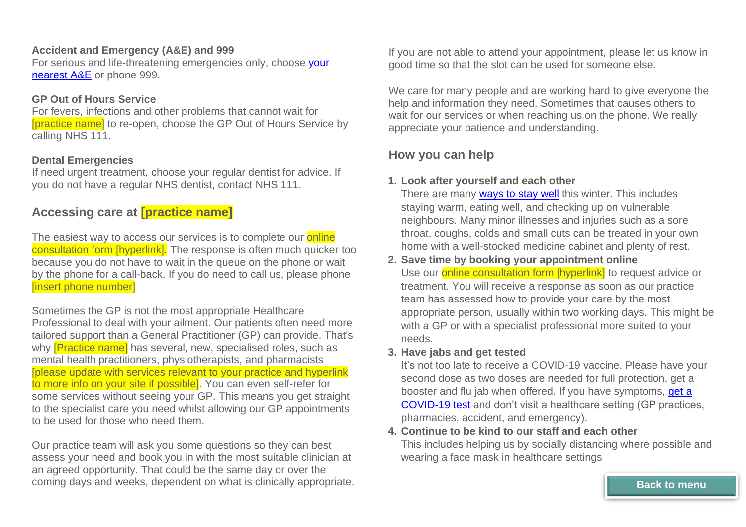#### **Accident and Emergency (A&E) and 999**

For serious and life-threatening emergencies only, choose [your](https://www.nhs.uk/service-search/other-services/Urgent-Care/LocationSearch/0)  [nearest A&E](https://www.nhs.uk/service-search/other-services/Urgent-Care/LocationSearch/0) or phone 999.

#### **GP Out of Hours Service**

For fevers, infections and other problems that cannot wait for [practice name] to re-open, choose the GP Out of Hours Service by calling NHS 111.

#### **Dental Emergencies**

If need urgent treatment, choose your regular dentist for advice. If you do not have a regular NHS dentist, contact NHS 111.

### **Accessing care at [practice name]**

The easiest way to access our services is to complete our **online** consultation form [hyperlink]. The response is often much quicker too because you do not have to wait in the queue on the phone or wait by the phone for a call-back. If you do need to call us, please phone [insert phone number]

Sometimes the GP is not the most appropriate Healthcare Professional to deal with your ailment. Our patients often need more tailored support than a General Practitioner (GP) can provide. That's why **[Practice name]** has several, new, specialised roles, such as mental health practitioners, physiotherapists, and pharmacists [please update with services relevant to your practice and hyperlink to more info on your site if possible]. You can even self-refer for some services without seeing your GP. This means you get straight to the specialist care you need whilst allowing our GP appointments to be used for those who need them.

Our practice team will ask you some questions so they can best assess your need and book you in with the most suitable clinician at an agreed opportunity. That could be the same day or over the coming days and weeks, dependent on what is clinically appropriate.

If you are not able to attend your appointment, please let us know in good time so that the slot can be used for someone else.

We care for many people and are working hard to give everyone the help and information they need. Sometimes that causes others to wait for our services or when reaching us on the phone. We really appreciate your patience and understanding.

### **How you can help**

#### **1. Look after yourself and each other**

There are many [ways to stay well](https://www.leedsccg.nhs.uk/health/healthy-living/winter-health/) this winter. This includes staying warm, eating well, and checking up on vulnerable neighbours. Many minor illnesses and injuries such as a sore throat, coughs, colds and small cuts can be treated in your own home with a well-stocked medicine cabinet and plenty of rest.

#### **2. Save time by booking your appointment online** Use our **online consultation form [hyperlink]** to request advice or

treatment. You will receive a response as soon as our practice team has assessed how to provide your care by the most appropriate person, usually within two working days. This might be with a GP or with a specialist professional more suited to your needs.

#### **3. Have jabs and get tested**

It's not too late to receive a COVID-19 vaccine. Please have your second dose as two doses are needed for full protection, get a booster and flu jab when offered. If you have symptoms, [get a](https://www.gov.uk/get-coronavirus-test)  [COVID-19 test](https://www.gov.uk/get-coronavirus-test) and don't visit a healthcare setting (GP practices, pharmacies, accident, and emergency).

#### **4. Continue to be kind to our staff and each other**

This includes helping us by socially distancing where possible and wearing a face mask in healthcare settings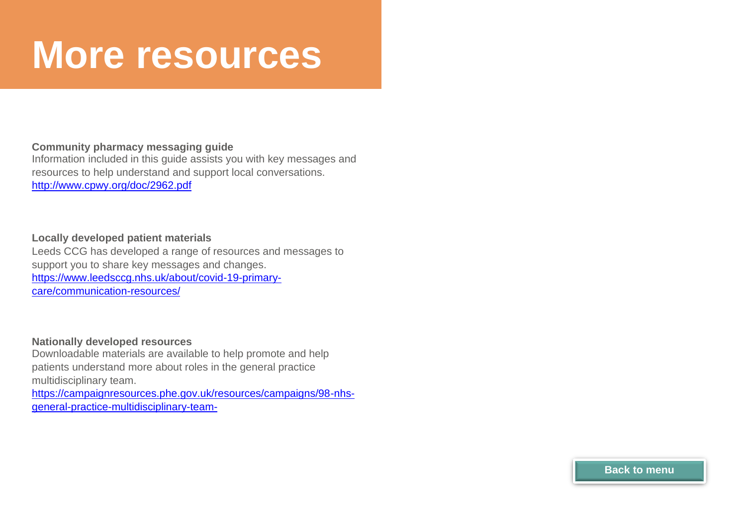## <span id="page-5-0"></span>**More resources**

#### **Community pharmacy messaging guide**

Information included in this guide assists you with key messages and resources to help understand and support local conversations. <http://www.cpwy.org/doc/2962.pdf>

#### **Locally developed patient materials**

Leeds CCG has developed a range of resources and messages to support you to share key messages and changes. [https://www.leedsccg.nhs.uk/about/covid-19-primary](https://www.leedsccg.nhs.uk/about/covid-19-primary-care/communication-resources/)[care/communication-resources/](https://www.leedsccg.nhs.uk/about/covid-19-primary-care/communication-resources/)

#### **Nationally developed resources**

Downloadable materials are available to help promote and help patients understand more about roles in the general practice multidisciplinary team.

[https://campaignresources.phe.gov.uk/resources/campaigns/98-nhs](https://campaignresources.phe.gov.uk/resources/campaigns/98-nhs-general-practice-multidisciplinary-team-)[general-practice-multidisciplinary-team-](https://campaignresources.phe.gov.uk/resources/campaigns/98-nhs-general-practice-multidisciplinary-team-)

**[Back to menu](#page-2-0)**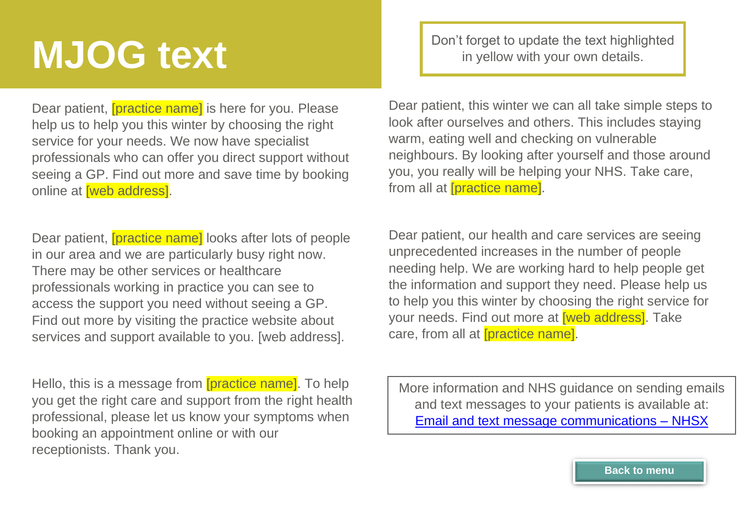# **MJOG text**

<span id="page-6-0"></span>Dear patient, *[practice name]* is here for you. Please help us to help you this winter by choosing the right service for your needs. We now have specialist professionals who can offer you direct support without seeing a GP. Find out more and save time by booking online at [web address].

Dear patient, *[practice name]* looks after lots of people in our area and we are particularly busy right now. There may be other services or healthcare professionals working in practice you can see to access the support you need without seeing a GP. Find out more by visiting the practice website about services and support available to you. [web address].

Hello, this is a message from **[practice name]**. To help you get the right care and support from the right health professional, please let us know your symptoms when booking an appointment online or with our receptionists. Thank you.

Don't forget to update the text highlighted in yellow with your own details.

Dear patient, this winter we can all take simple steps to look after ourselves and others. This includes staying warm, eating well and checking on vulnerable neighbours. By looking after yourself and those around you, you really will be helping your NHS. Take care, from all at [practice name].

Dear patient, our health and care services are seeing unprecedented increases in the number of people needing help. We are working hard to help people get the information and support they need. Please help us to help you this winter by choosing the right service for your needs. Find out more at [web address]. Take care, from all at [practice name].

More information and NHS guidance on sending emails and text messages to your patients is available at: [Email and text message communications –](https://www.nhsx.nhs.uk/information-governance/guidance/email-and-text-message-communications/) NHSX

**[Back to menu](#page-2-0)**